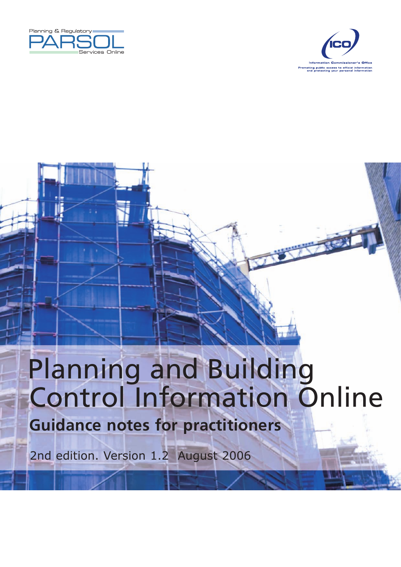



# Control Information Online Planning and Building **Guidance notes for practitioners**

2nd edition. Version 1.2 August 2006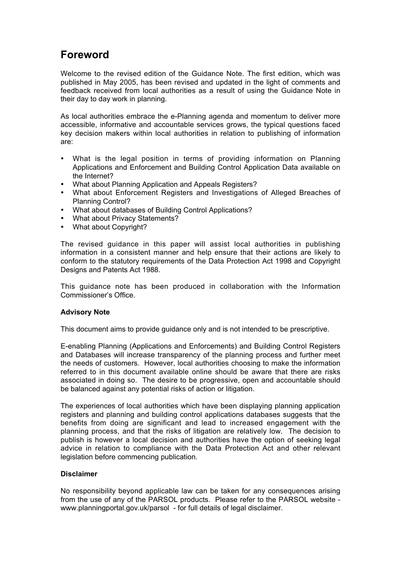# **Foreword**

Welcome to the revised edition of the Guidance Note. The first edition, which was published in May 2005, has been revised and updated in the light of comments and feedback received from local authorities as a result of using the Guidance Note in their day to day work in planning.

As local authorities embrace the e-Planning agenda and momentum to deliver more accessible, informative and accountable services grows, the typical questions faced key decision makers within local authorities in relation to publishing of information are:

- What is the legal position in terms of providing information on Planning Applications and Enforcement and Building Control Application Data available on the Internet?
- What about Planning Application and Appeals Registers?
- What about Enforcement Registers and Investigations of Alleged Breaches of Planning Control?
- What about databases of Building Control Applications?
- What about Privacy Statements?
- What about Copyright?

The revised guidance in this paper will assist local authorities in publishing information in a consistent manner and help ensure that their actions are likely to conform to the statutory requirements of the Data Protection Act 1998 and Copyright Designs and Patents Act 1988.

This guidance note has been produced in collaboration with the Information Commissioner's Office.

#### **Advisory Note**

This document aims to provide guidance only and is not intended to be prescriptive.

E-enabling Planning (Applications and Enforcements) and Building Control Registers and Databases will increase transparency of the planning process and further meet the needs of customers. However, local authorities choosing to make the information referred to in this document available online should be aware that there are risks associated in doing so. The desire to be progressive, open and accountable should be balanced against any potential risks of action or litigation.

The experiences of local authorities which have been displaying planning application registers and planning and building control applications databases suggests that the benefits from doing are significant and lead to increased engagement with the planning process, and that the risks of litigation are relatively low. The decision to publish is however a local decision and authorities have the option of seeking legal advice in relation to compliance with the Data Protection Act and other relevant legislation before commencing publication.

#### **Disclaimer**

No responsibility beyond applicable law can be taken for any consequences arising from the use of any of the PARSOL products. Please refer to the PARSOL website www.planningportal.gov.uk/parsol - for full details of legal disclaimer.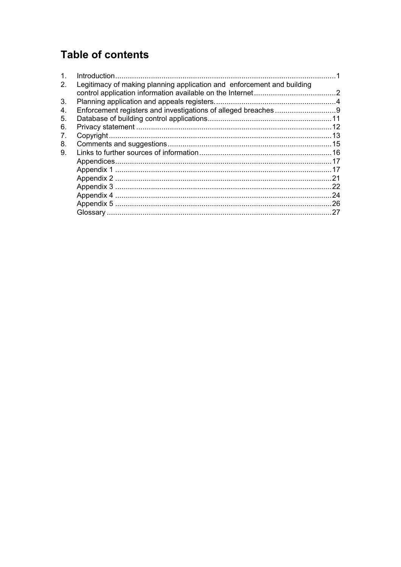# **Table of contents**

| $\mathbf{1}$ . |                                                                        |     |
|----------------|------------------------------------------------------------------------|-----|
| 2.             | Legitimacy of making planning application and enforcement and building |     |
|                |                                                                        |     |
| 3.             |                                                                        |     |
| 4.             |                                                                        |     |
| 5.             |                                                                        |     |
| 6.             |                                                                        |     |
| 7.             |                                                                        |     |
| 8.             |                                                                        |     |
| 9.             |                                                                        |     |
|                |                                                                        |     |
|                |                                                                        |     |
|                |                                                                        | .21 |
|                |                                                                        | .22 |
|                |                                                                        | .24 |
|                |                                                                        |     |
|                |                                                                        | .27 |
|                |                                                                        |     |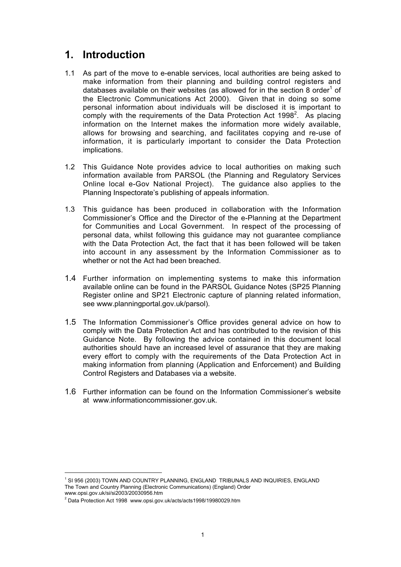# **1. Introduction**

- 1.1 As part of the move to e-enable services, local authorities are being asked to make information from their planning and building control registers and databases available on their websites (as allowed for in the section 8 order<sup>1</sup> of the Electronic Communications Act 2000). Given that in doing so some personal information about individuals will be disclosed it is important to comply with the requirements of the Data Protection Act 1998<sup>2</sup>. As placing information on the Internet makes the information more widely available, allows for browsing and searching, and facilitates copying and re-use of information, it is particularly important to consider the Data Protection implications.
- 1.2 This Guidance Note provides advice to local authorities on making such information available from PARSOL (the Planning and Regulatory Services Online local e-Gov National Project). The guidance also applies to the Planning Inspectorate's publishing of appeals information.
- 1.3 This guidance has been produced in collaboration with the Information Commissioner's Office and the Director of the e-Planning at the Department for Communities and Local Government. In respect of the processing of personal data, whilst following this guidance may not guarantee compliance with the Data Protection Act, the fact that it has been followed will be taken into account in any assessment by the Information Commissioner as to whether or not the Act had been breached.
- 1.4 Further information on implementing systems to make this information available online can be found in the PARSOL Guidance Notes (SP25 Planning Register online and SP21 Electronic capture of planning related information, see www.planningportal.gov.uk/parsol).
- 1.5 The Information Commissioner's Office provides general advice on how to comply with the Data Protection Act and has contributed to the revision of this Guidance Note. By following the advice contained in this document local authorities should have an increased level of assurance that they are making every effort to comply with the requirements of the Data Protection Act in making information from planning (Application and Enforcement) and Building Control Registers and Databases via a website.
- 1.6 Further information can be found on the Information Commissioner's website at www.informationcommissioner.gov.uk.

 $\overline{1}$ <sup>1</sup> SI 956 (2003) TOWN AND COUNTRY PLANNING, ENGLAND TRIBUNALS AND INQUIRIES, ENGLAND The Town and Country Planning (Electronic Communications) (England) Order www.opsi.gov.uk/si/si2003/20030956.htm

<sup>&</sup>lt;sup>2</sup> Data Protection Act 1998 www.opsi.gov.uk/acts/acts1998/19980029.htm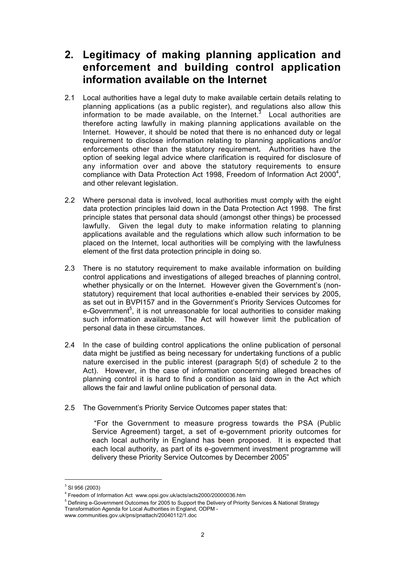# **2. Legitimacy of making planning application and enforcement and building control application information available on the Internet**

- 2.1 Local authorities have a legal duty to make available certain details relating to planning applications (as a public register), and regulations also allow this information to be made available, on the Internet. $3$  Local authorities are therefore acting lawfully in making planning applications available on the Internet. However, it should be noted that there is no enhanced duty or legal requirement to disclose information relating to planning applications and/or enforcements other than the statutory requirement*.* Authorities have the option of seeking legal advice where clarification is required for disclosure of any information over and above the statutory requirements to ensure compliance with Data Protection Act 1998, Freedom of Information Act 2000 $^4$ , and other relevant legislation.
- 2.2 Where personal data is involved, local authorities must comply with the eight data protection principles laid down in the Data Protection Act 1998. The first principle states that personal data should (amongst other things) be processed lawfully. Given the legal duty to make information relating to planning applications available and the regulations which allow such information to be placed on the Internet, local authorities will be complying with the lawfulness element of the first data protection principle in doing so.
- 2.3 There is no statutory requirement to make available information on building control applications and investigations of alleged breaches of planning control, whether physically or on the Internet. However given the Government's (nonstatutory) requirement that local authorities e-enabled their services by 2005, as set out in BVPI157 and in the Government's Priority Services Outcomes for e-Government<sup>5</sup>, it is not unreasonable for local authorities to consider making such information available. The Act will however limit the publication of personal data in these circumstances.
- 2.4 In the case of building control applications the online publication of personal data might be justified as being necessary for undertaking functions of a public nature exercised in the public interest (paragraph 5(d) of schedule 2 to the Act). However, in the case of information concerning alleged breaches of planning control it is hard to find a condition as laid down in the Act which allows the fair and lawful online publication of personal data.
- 2.5 The Government's Priority Service Outcomes paper states that:

"For the Government to measure progress towards the PSA (Public Service Agreement) target, a set of e-government priority outcomes for each local authority in England has been proposed. It is expected that each local authority, as part of its e-government investment programme will delivery these Priority Service Outcomes by December 2005"

<sup>-&</sup>lt;br>3  $3$  SI 956 (2003)

<sup>4</sup> Freedom of Information Act www.opsi.gov.uk/acts/acts2000/20000036.htm

<sup>&</sup>lt;sup>5</sup> Defining e-Government Outcomes for 2005 to Support the Delivery of Priority Services & National Strategy Transformation Agenda for Local Authorities in England, ODPM -

www.communities.gov.uk/pns/pnattach/20040112/1.doc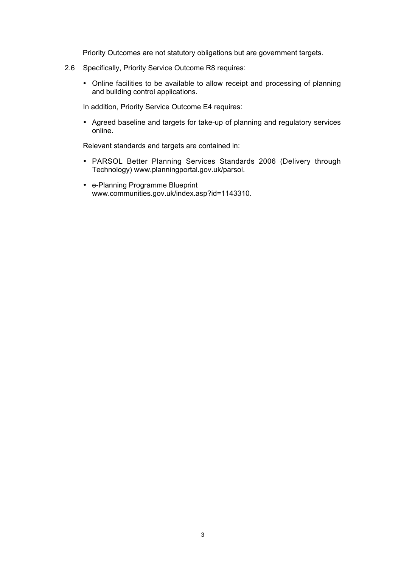Priority Outcomes are not statutory obligations but are government targets.

- 2.6 Specifically, Priority Service Outcome R8 requires:
	- Online facilities to be available to allow receipt and processing of planning and building control applications.

In addition, Priority Service Outcome E4 requires:

• Agreed baseline and targets for take-up of planning and regulatory services online.

Relevant standards and targets are contained in:

- PARSOL Better Planning Services Standards 2006 (Delivery through Technology) www.planningportal.gov.uk/parsol.
- e-Planning Programme Blueprint www.communities.gov.uk/index.asp?id=1143310.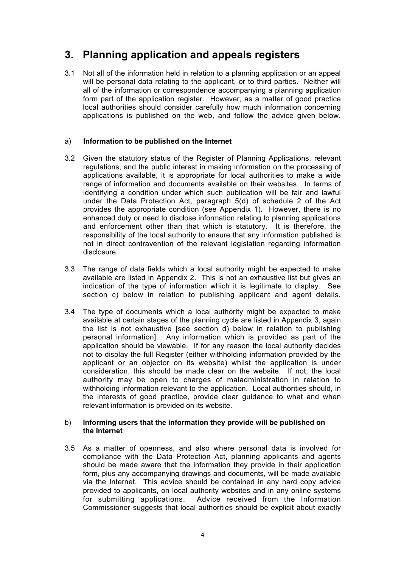# **3. Planning application and appeals registers**

3.1 Not all of the information held in relation to a planning application or an appeal will be personal data relating to the applicant, or to third parties. Neither will all of the information or correspondence accompanying a planning application form part of the application register. However, as a matter of good practice local authorities should consider carefully how much information concerning applications is published on the web, and follow the advice given below.

## a) **Information to be published on the Internet**

- 3.2 Given the statutory status of the Register of Planning Applications, relevant regulations, and the public interest in making information on the processing of applications available, it is appropriate for local authorities to make a wide range of information and documents available on their websites. In terms of identifying a condition under which such publication will be fair and lawful under the Data Protection Act, paragraph 5(d) of schedule 2 of the Act provides the appropriate condition (see Appendix 1). However, there is no enhanced duty or need to disclose information relating to planning applications and enforcement other than that which is statutory. It is therefore, the responsibility of the local authority to ensure that any information published is not in direct contravention of the relevant legislation regarding information disclosure.
- 3.3 The range of data fields which a local authority might be expected to make available are listed in Appendix 2. This is not an exhaustive list but gives an indication of the type of information which it is legitimate to display. See section c) below in relation to publishing applicant and agent details.
- 3.4 The type of documents which a local authority might be expected to make available at certain stages of the planning cycle are listed in Appendix 3, again the list is not exhaustive [see section d) below in relation to publishing personal information]. Any information which is provided as part of the application should be viewable. If for any reason the local authority decides not to display the full Register (either withholding information provided by the applicant or an objector on its website) whilst the application is under consideration, this should be made clear on the website. If not, the local authority may be open to charges of maladministration in relation to withholding information relevant to the application. Local authorities should, in the interests of good practice, provide clear guidance to what and when relevant information is provided on its website.

## b) **Informing users that the information they provide will be published on the Internet**

3.5 As a matter of openness, and also where personal data is involved for compliance with the Data Protection Act, planning applicants and agents should be made aware that the information they provide in their application form, plus any accompanying drawings and documents, will be made available via the Internet. This advice should be contained in any hard copy advice provided to applicants, on local authority websites and in any online systems for submitting applications. Advice received from the Information Commissioner suggests that local authorities should be explicit about exactly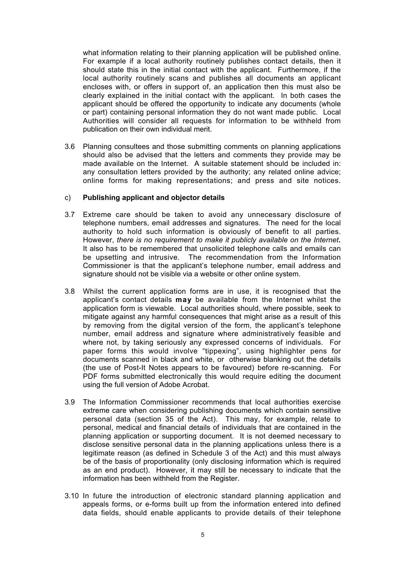what information relating to their planning application will be published online. For example if a local authority routinely publishes contact details, then it should state this in the initial contact with the applicant. Furthermore, if the local authority routinely scans and publishes all documents an applicant encloses with, or offers in support of, an application then this must also be clearly explained in the initial contact with the applicant. In both cases the applicant should be offered the opportunity to indicate any documents (whole or part) containing personal information they do not want made public. Local Authorities will consider all requests for information to be withheld from publication on their own individual merit.

3.6 Planning consultees and those submitting comments on planning applications should also be advised that the letters and comments they provide may be made available on the Internet. A suitable statement should be included in: any consultation letters provided by the authority; any related online advice; online forms for making representations; and press and site notices.

## c) **Publishing applicant and objector details**

- 3.7 Extreme care should be taken to avoid any unnecessary disclosure of telephone numbers, email addresses and signatures. The need for the local authority to hold such information is obviously of benefit to all parties. However, *there is no requirement to make it publicly available on the Internet.* It also has to be remembered that unsolicited telephone calls and emails can be upsetting and intrusive. The recommendation from the Information Commissioner is that the applicant's telephone number, email address and signature should not be visible via a website or other online system.
- 3.8 Whilst the current application forms are in use, it is recognised that the applicant's contact details **may** be available from the Internet whilst the application form is viewable. Local authorities should, where possible, seek to mitigate against any harmful consequences that might arise as a result of this by removing from the digital version of the form, the applicant's telephone number, email address and signature where administratively feasible and where not, by taking seriously any expressed concerns of individuals. For paper forms this would involve "tippexing", using highlighter pens for documents scanned in black and white, or otherwise blanking out the details (the use of Post-It Notes appears to be favoured) before re-scanning. For PDF forms submitted electronically this would require editing the document using the full version of Adobe Acrobat.
- 3.9 The Information Commissioner recommends that local authorities exercise extreme care when considering publishing documents which contain sensitive personal data (section 35 of the Act). This may, for example, relate to personal, medical and financial details of individuals that are contained in the planning application or supporting document. It is not deemed necessary to disclose sensitive personal data in the planning applications unless there is a legitimate reason (as defined in Schedule 3 of the Act) and this must always be of the basis of proportionality (only disclosing information which is required as an end product). However, it may still be necessary to indicate that the information has been withheld from the Register.
- 3.10 In future the introduction of electronic standard planning application and appeals forms, or e-forms built up from the information entered into defined data fields, should enable applicants to provide details of their telephone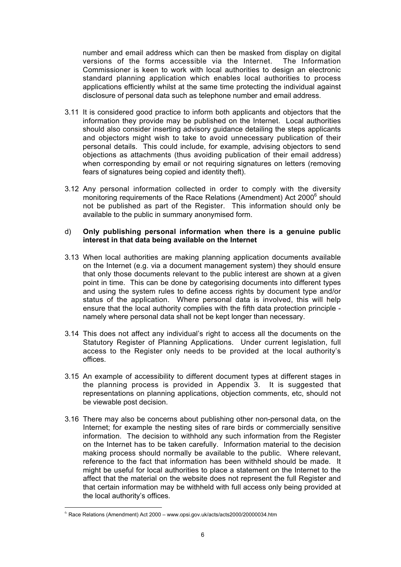number and email address which can then be masked from display on digital versions of the forms accessible via the Internet. The Information Commissioner is keen to work with local authorities to design an electronic standard planning application which enables local authorities to process applications efficiently whilst at the same time protecting the individual against disclosure of personal data such as telephone number and email address.

- 3.11 It is considered good practice to inform both applicants and objectors that the information they provide may be published on the Internet. Local authorities should also consider inserting advisory guidance detailing the steps applicants and objectors might wish to take to avoid unnecessary publication of their personal details. This could include, for example, advising objectors to send objections as attachments (thus avoiding publication of their email address) when corresponding by email or not requiring signatures on letters (removing fears of signatures being copied and identity theft).
- 3.12 Any personal information collected in order to comply with the diversity monitoring requirements of the Race Relations (Amendment) Act 2000<sup>6</sup> should not be published as part of the Register. This information should only be available to the public in summary anonymised form.

#### d) **Only publishing personal information when there is a genuine public interest in that data being available on the Internet**

- 3.13 When local authorities are making planning application documents available on the Internet (e.g. via a document management system) they should ensure that only those documents relevant to the public interest are shown at a given point in time. This can be done by categorising documents into different types and using the system rules to define access rights by document type and/or status of the application. Where personal data is involved, this will help ensure that the local authority complies with the fifth data protection principle namely where personal data shall not be kept longer than necessary.
- 3.14 This does not affect any individual's right to access all the documents on the Statutory Register of Planning Applications. Under current legislation, full access to the Register only needs to be provided at the local authority's offices.
- 3.15 An example of accessibility to different document types at different stages in the planning process is provided in Appendix 3. It is suggested that representations on planning applications, objection comments, etc, should not be viewable post decision.
- 3.16 There may also be concerns about publishing other non-personal data, on the Internet; for example the nesting sites of rare birds or commercially sensitive information. The decision to withhold any such information from the Register on the Internet has to be taken carefully. Information material to the decision making process should normally be available to the public. Where relevant, reference to the fact that information has been withheld should be made. It might be useful for local authorities to place a statement on the Internet to the affect that the material on the website does not represent the full Register and that certain information may be withheld with full access only being provided at the local authority's offices.

l

 $6$  Race Relations (Amendment) Act 2000 – www.opsi.gov.uk/acts/acts2000/20000034.htm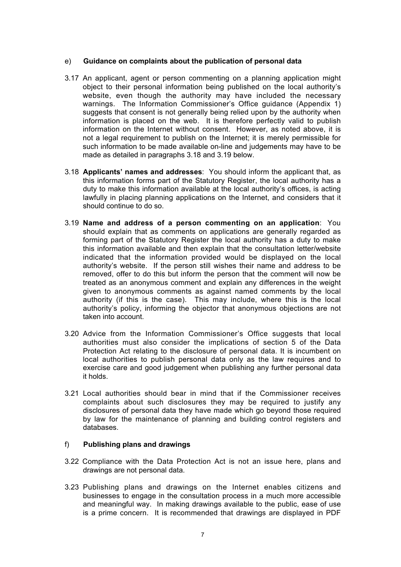## e) **Guidance on complaints about the publication of personal data**

- 3.17 An applicant, agent or person commenting on a planning application might object to their personal information being published on the local authority's website, even though the authority may have included the necessary warnings. The Information Commissioner's Office guidance (Appendix 1) suggests that consent is not generally being relied upon by the authority when information is placed on the web. It is therefore perfectly valid to publish information on the Internet without consent. However, as noted above, it is not a legal requirement to publish on the Internet; it is merely permissible for such information to be made available on-line and judgements may have to be made as detailed in paragraphs 3.18 and 3.19 below.
- 3.18 **Applicants' names and addresses**: You should inform the applicant that, as this information forms part of the Statutory Register, the local authority has a duty to make this information available at the local authority's offices, is acting lawfully in placing planning applications on the Internet, and considers that it should continue to do so.
- 3.19 **Name and address of a person commenting on an application**: You should explain that as comments on applications are generally regarded as forming part of the Statutory Register the local authority has a duty to make this information available and then explain that the consultation letter/website indicated that the information provided would be displayed on the local authority's website. If the person still wishes their name and address to be removed, offer to do this but inform the person that the comment will now be treated as an anonymous comment and explain any differences in the weight given to anonymous comments as against named comments by the local authority (if this is the case). This may include, where this is the local authority's policy, informing the objector that anonymous objections are not taken into account.
- 3.20 Advice from the Information Commissioner's Office suggests that local authorities must also consider the implications of section 5 of the Data Protection Act relating to the disclosure of personal data. It is incumbent on local authorities to publish personal data only as the law requires and to exercise care and good judgement when publishing any further personal data it holds.
- 3.21 Local authorities should bear in mind that if the Commissioner receives complaints about such disclosures they may be required to justify any disclosures of personal data they have made which go beyond those required by law for the maintenance of planning and building control registers and databases.

## f) **Publishing plans and drawings**

- 3.22 Compliance with the Data Protection Act is not an issue here, plans and drawings are not personal data.
- 3.23 Publishing plans and drawings on the Internet enables citizens and businesses to engage in the consultation process in a much more accessible and meaningful way. In making drawings available to the public, ease of use is a prime concern. It is recommended that drawings are displayed in PDF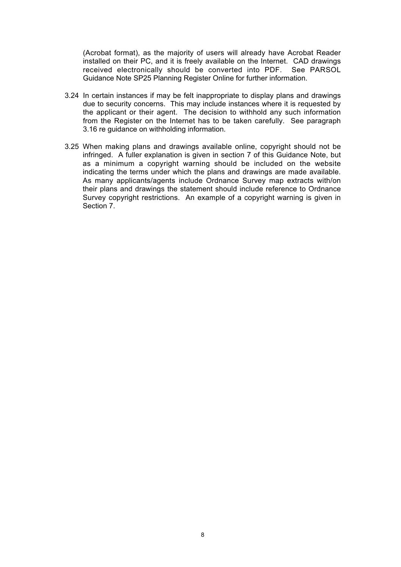(Acrobat format), as the majority of users will already have Acrobat Reader installed on their PC, and it is freely available on the Internet. CAD drawings received electronically should be converted into PDF. See PARSOL Guidance Note SP25 Planning Register Online for further information.

- 3.24 In certain instances if may be felt inappropriate to display plans and drawings due to security concerns. This may include instances where it is requested by the applicant or their agent. The decision to withhold any such information from the Register on the Internet has to be taken carefully. See paragraph 3.16 re guidance on withholding information.
- 3.25 When making plans and drawings available online, copyright should not be infringed. A fuller explanation is given in section 7 of this Guidance Note, but as a minimum a copyright warning should be included on the website indicating the terms under which the plans and drawings are made available. As many applicants/agents include Ordnance Survey map extracts with/on their plans and drawings the statement should include reference to Ordnance Survey copyright restrictions. An example of a copyright warning is given in Section 7.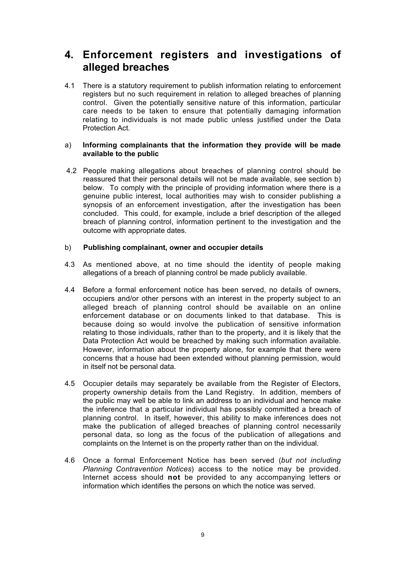# **4. Enforcement registers and investigations of alleged breaches**

4.1 There is a statutory requirement to publish information relating to enforcement registers but no such requirement in relation to alleged breaches of planning control. Given the potentially sensitive nature of this information, particular care needs to be taken to ensure that potentially damaging information relating to individuals is not made public unless justified under the Data Protection Act.

## a) **Informing complainants that the information they provide will be made available to the public**

4.2 People making allegations about breaches of planning control should be reassured that their personal details will not be made available, see section b) below. To comply with the principle of providing information where there is a genuine public interest, local authorities may wish to consider publishing a synopsis of an enforcement investigation, after the investigation has been concluded. This could, for example, include a brief description of the alleged breach of planning control, information pertinent to the investigation and the outcome with appropriate dates.

## b) **Publishing complainant, owner and occupier details**

- 4.3 As mentioned above, at no time should the identity of people making allegations of a breach of planning control be made publicly available.
- 4.4 Before a formal enforcement notice has been served, no details of owners, occupiers and/or other persons with an interest in the property subject to an alleged breach of planning control should be available on an online enforcement database or on documents linked to that database. This is because doing so would involve the publication of sensitive information relating to those individuals, rather than to the property, and it is likely that the Data Protection Act would be breached by making such information available. However, information about the property alone, for example that there were concerns that a house had been extended without planning permission, would in itself not be personal data.
- 4.5 Occupier details may separately be available from the Register of Electors, property ownership details from the Land Registry. In addition, members of the public may well be able to link an address to an individual and hence make the inference that a particular individual has possibly committed a breach of planning control. In itself, however, this ability to make inferences does not make the publication of alleged breaches of planning control necessarily personal data, so long as the focus of the publication of allegations and complaints on the Internet is on the property rather than on the individual.
- 4.6 Once a formal Enforcement Notice has been served (*but not including Planning Contravention Notices*) access to the notice may be provided. Internet access should **not** be provided to any accompanying letters or information which identifies the persons on which the notice was served.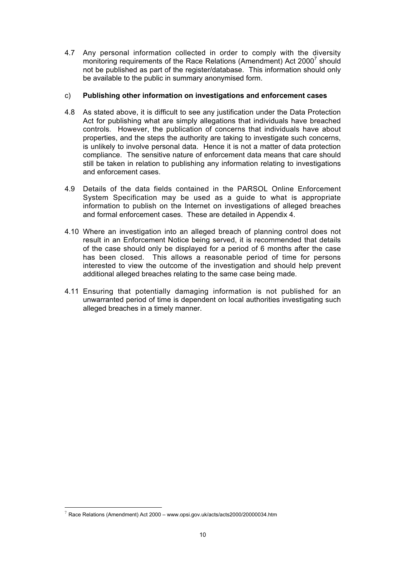4.7 Any personal information collected in order to comply with the diversity monitoring requirements of the Race Relations (Amendment) Act 2000<sup>7</sup> should not be published as part of the register/database. This information should only be available to the public in summary anonymised form.

## c) **Publishing other information on investigations and enforcement cases**

- 4.8 As stated above, it is difficult to see any justification under the Data Protection Act for publishing what are simply allegations that individuals have breached controls. However, the publication of concerns that individuals have about properties, and the steps the authority are taking to investigate such concerns, is unlikely to involve personal data. Hence it is not a matter of data protection compliance. The sensitive nature of enforcement data means that care should still be taken in relation to publishing any information relating to investigations and enforcement cases.
- 4.9 Details of the data fields contained in the PARSOL Online Enforcement System Specification may be used as a guide to what is appropriate information to publish on the Internet on investigations of alleged breaches and formal enforcement cases. These are detailed in Appendix 4.
- 4.10 Where an investigation into an alleged breach of planning control does not result in an Enforcement Notice being served, it is recommended that details of the case should only be displayed for a period of 6 months after the case has been closed. This allows a reasonable period of time for persons interested to view the outcome of the investigation and should help prevent additional alleged breaches relating to the same case being made.
- 4.11 Ensuring that potentially damaging information is not published for an unwarranted period of time is dependent on local authorities investigating such alleged breaches in a timely manner.

l

 $7$  Race Relations (Amendment) Act 2000 – www.opsi.gov.uk/acts/acts2000/20000034.htm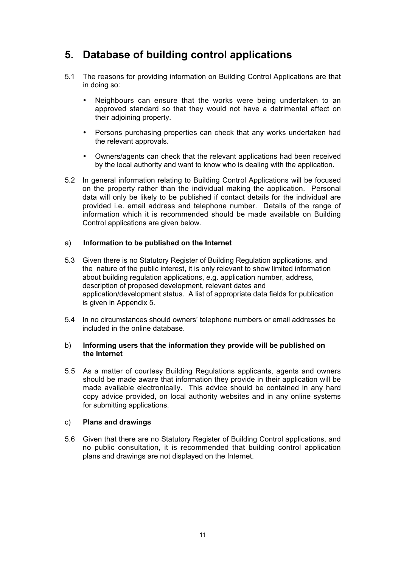# **5. Database of building control applications**

- 5.1 The reasons for providing information on Building Control Applications are that in doing so:
	- Neighbours can ensure that the works were being undertaken to an approved standard so that they would not have a detrimental affect on their adjoining property.
	- Persons purchasing properties can check that any works undertaken had the relevant approvals.
	- Owners/agents can check that the relevant applications had been received by the local authority and want to know who is dealing with the application.
- 5.2 In general information relating to Building Control Applications will be focused on the property rather than the individual making the application. Personal data will only be likely to be published if contact details for the individual are provided i.e. email address and telephone number. Details of the range of information which it is recommended should be made available on Building Control applications are given below.

## a) **Information to be published on the Internet**

- 5.3 Given there is no Statutory Register of Building Regulation applications, and the nature of the public interest, it is only relevant to show limited information about building regulation applications, e.g. application number, address, description of proposed development, relevant dates and application/development status. A list of appropriate data fields for publication is given in Appendix 5.
- 5.4 In no circumstances should owners' telephone numbers or email addresses be included in the online database.

## b) **Informing users that the information they provide will be published on the Internet**

5.5 As a matter of courtesy Building Regulations applicants, agents and owners should be made aware that information they provide in their application will be made available electronically. This advice should be contained in any hard copy advice provided, on local authority websites and in any online systems for submitting applications.

#### c) **Plans and drawings**

5.6 Given that there are no Statutory Register of Building Control applications, and no public consultation, it is recommended that building control application plans and drawings are not displayed on the Internet.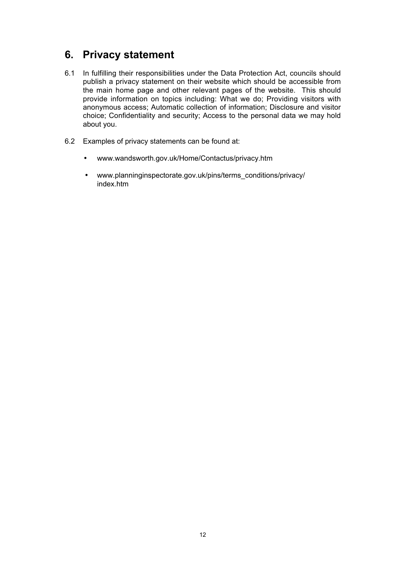# **6. Privacy statement**

- 6.1 In fulfilling their responsibilities under the Data Protection Act, councils should publish a privacy statement on their website which should be accessible from the main home page and other relevant pages of the website. This should provide information on topics including: What we do; Providing visitors with anonymous access; Automatic collection of information; Disclosure and visitor choice; Confidentiality and security; Access to the personal data we may hold about you.
- 6.2 Examples of privacy statements can be found at:
	- www.wandsworth.gov.uk/Home/Contactus/privacy.htm
	- www.planninginspectorate.gov.uk/pins/terms\_conditions/privacy/ index.htm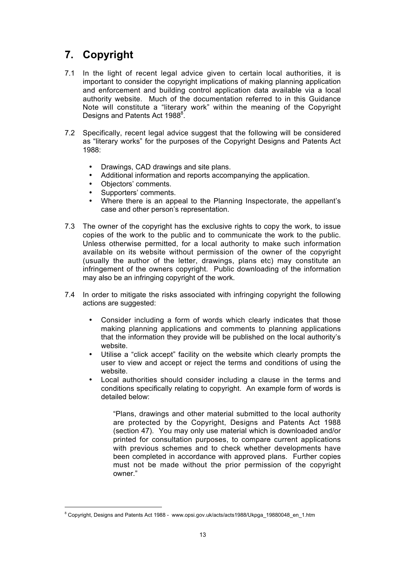# **7. Copyright**

- 7.1 In the light of recent legal advice given to certain local authorities, it is important to consider the copyright implications of making planning application and enforcement and building control application data available via a local authority website. Much of the documentation referred to in this Guidance Note will constitute a "literary work" within the meaning of the Copyright Designs and Patents Act 1988<sup>8</sup>.
- 7.2 Specifically, recent legal advice suggest that the following will be considered as "literary works" for the purposes of the Copyright Designs and Patents Act 1988:
	- Drawings, CAD drawings and site plans.
	- Additional information and reports accompanying the application.
	- Objectors' comments.
	- Supporters' comments.
	- Where there is an appeal to the Planning Inspectorate, the appellant's case and other person's representation.
- 7.3 The owner of the copyright has the exclusive rights to copy the work, to issue copies of the work to the public and to communicate the work to the public. Unless otherwise permitted, for a local authority to make such information available on its website without permission of the owner of the copyright (usually the author of the letter, drawings, plans etc) may constitute an infringement of the owners copyright. Public downloading of the information may also be an infringing copyright of the work.
- 7.4 In order to mitigate the risks associated with infringing copyright the following actions are suggested:
	- Consider including a form of words which clearly indicates that those making planning applications and comments to planning applications that the information they provide will be published on the local authority's website.
	- Utilise a "click accept" facility on the website which clearly prompts the user to view and accept or reject the terms and conditions of using the website.
	- Local authorities should consider including a clause in the terms and conditions specifically relating to copyright. An example form of words is detailed below:

"Plans, drawings and other material submitted to the local authority are protected by the Copyright, Designs and Patents Act 1988 (section 47). You may only use material which is downloaded and/or printed for consultation purposes, to compare current applications with previous schemes and to check whether developments have been completed in accordance with approved plans. Further copies must not be made without the prior permission of the copyright owner."

<sup>-&</sup>lt;br>8 <sup>8</sup> Copyright, Designs and Patents Act 1988 - www.opsi.gov.uk/acts/acts1988/Ukpga\_19880048\_en\_1.htm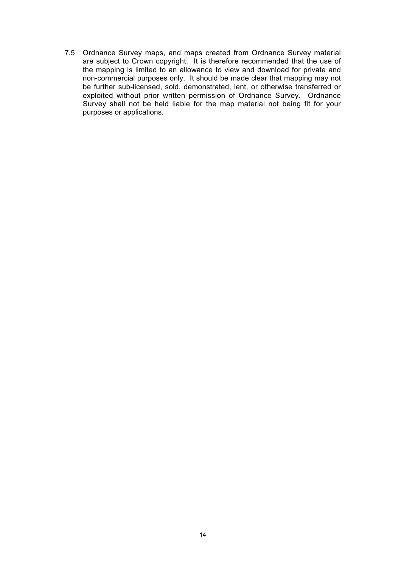7.5 Ordnance Survey maps, and maps created from Ordnance Survey material are subject to Crown copyright. It is therefore recommended that the use of the mapping is limited to an allowance to view and download for private and non-commercial purposes only. It should be made clear that mapping may not be further sub-licensed, sold, demonstrated, lent, or otherwise transferred or exploited without prior written permission of Ordnance Survey. Ordnance Survey shall not be held liable for the map material not being fit for your purposes or applications.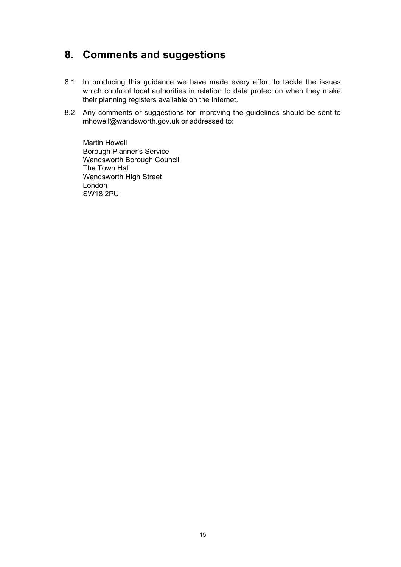# **8. Comments and suggestions**

- 8.1 In producing this guidance we have made every effort to tackle the issues which confront local authorities in relation to data protection when they make their planning registers available on the Internet.
- 8.2 Any comments or suggestions for improving the guidelines should be sent to mhowell@wandsworth.gov.uk or addressed to:

Martin Howell Borough Planner's Service Wandsworth Borough Council The Town Hall Wandsworth High Street London SW18 2PU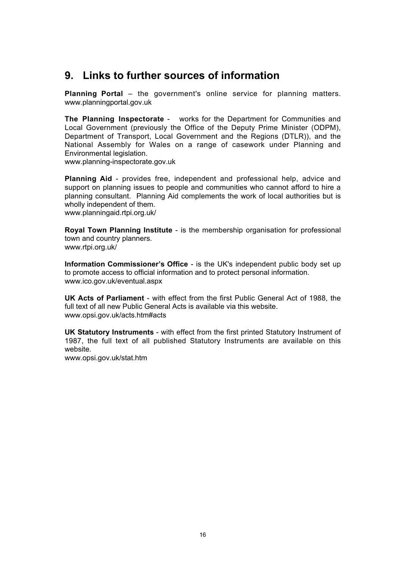# **9. Links to further sources of information**

**Planning Portal** – the government's online service for planning matters. www.planningportal.gov.uk

**The Planning Inspectorate** - works for the Department for Communities and Local Government (previously the Office of the Deputy Prime Minister (ODPM), Department of Transport, Local Government and the Regions (DTLR)), and the National Assembly for Wales on a range of casework under Planning and Environmental legislation.

www.planning-inspectorate.gov.uk

**Planning Aid** - provides free, independent and professional help, advice and support on planning issues to people and communities who cannot afford to hire a planning consultant. Planning Aid complements the work of local authorities but is wholly independent of them.

www.planningaid.rtpi.org.uk/

**Royal Town Planning Institute** - is the membership organisation for professional town and country planners. www.rtpi.org.uk/

**Information Commissioner's Office** - is the UK's independent public body set up to promote access to official information and to protect personal information. www.ico.gov.uk/eventual.aspx

**UK Acts of Parliament** - with effect from the first Public General Act of 1988, the full text of all new Public General Acts is available via this website. www.opsi.gov.uk/acts.htm#acts

**UK Statutory Instruments** - with effect from the first printed Statutory Instrument of 1987, the full text of all published Statutory Instruments are available on this website.

www.opsi.gov.uk/stat.htm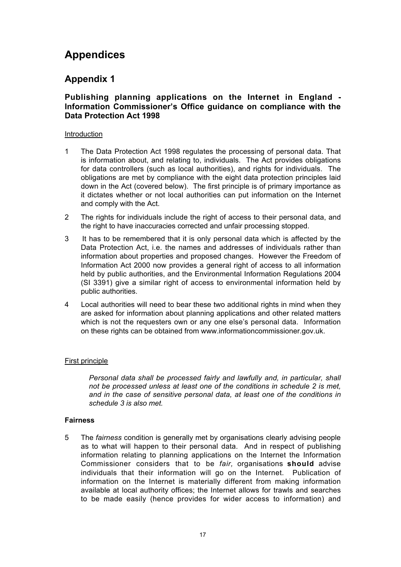# **Appendices**

# **Appendix 1**

## **Publishing planning applications on the Internet in England - Information Commissioner's Office guidance on compliance with the Data Protection Act 1998**

## **Introduction**

- 1 The Data Protection Act 1998 regulates the processing of personal data. That is information about, and relating to, individuals. The Act provides obligations for data controllers (such as local authorities), and rights for individuals. The obligations are met by compliance with the eight data protection principles laid down in the Act (covered below). The first principle is of primary importance as it dictates whether or not local authorities can put information on the Internet and comply with the Act.
- 2 The rights for individuals include the right of access to their personal data, and the right to have inaccuracies corrected and unfair processing stopped.
- 3 It has to be remembered that it is only personal data which is affected by the Data Protection Act, i.e. the names and addresses of individuals rather than information about properties and proposed changes. However the Freedom of Information Act 2000 now provides a general right of access to all information held by public authorities, and the Environmental Information Regulations 2004 (SI 3391) give a similar right of access to environmental information held by public authorities.
- 4 Local authorities will need to bear these two additional rights in mind when they are asked for information about planning applications and other related matters which is not the requesters own or any one else's personal data. Information on these rights can be obtained from www.informationcommissioner.gov.uk.

## First principle

*Personal data shall be processed fairly and lawfully and, in particular, shall not be processed unless at least one of the conditions in schedule 2 is met, and in the case of sensitive personal data, at least one of the conditions in schedule 3 is also met.*

## **Fairness**

5 The *fairness* condition is generally met by organisations clearly advising people as to what will happen to their personal data. And in respect of publishing information relating to planning applications on the Internet the Information Commissioner considers that to be *fair,* organisations **should** advise individuals that their information will go on the Internet. Publication of information on the Internet is materially different from making information available at local authority offices; the Internet allows for trawls and searches to be made easily (hence provides for wider access to information) and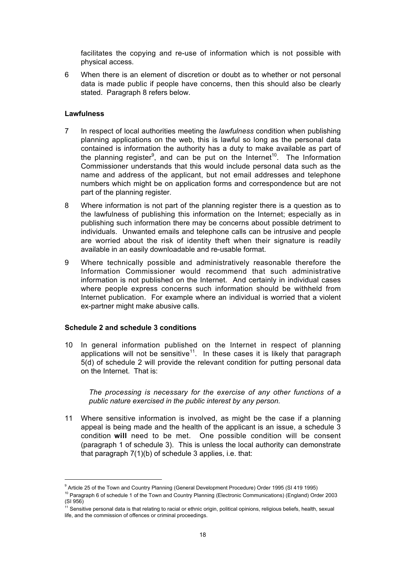facilitates the copying and re-use of information which is not possible with physical access.

6 When there is an element of discretion or doubt as to whether or not personal data is made public if people have concerns, then this should also be clearly stated. Paragraph 8 refers below.

## **Lawfulness**

- 7 In respect of local authorities meeting the *lawfulness* condition when publishing planning applications on the web, this is lawful so long as the personal data contained is information the authority has a duty to make available as part of the planning register<sup>9</sup>, and can be put on the Internet<sup>10</sup>. The Information Commissioner understands that this would include personal data such as the name and address of the applicant, but not email addresses and telephone numbers which might be on application forms and correspondence but are not part of the planning register.
- 8 Where information is not part of the planning register there is a question as to the lawfulness of publishing this information on the Internet; especially as in publishing such information there may be concerns about possible detriment to individuals. Unwanted emails and telephone calls can be intrusive and people are worried about the risk of identity theft when their signature is readily available in an easily downloadable and re-usable format.
- 9 Where technically possible and administratively reasonable therefore the Information Commissioner would recommend that such administrative information is not published on the Internet. And certainly in individual cases where people express concerns such information should be withheld from Internet publication. For example where an individual is worried that a violent ex-partner might make abusive calls.

## **Schedule 2 and schedule 3 conditions**

10 In general information published on the Internet in respect of planning applications will not be sensitive<sup>11</sup>. In these cases it is likely that paragraph 5(d) of schedule 2 will provide the relevant condition for putting personal data on the Internet. That is:

*The processing is necessary for the exercise of any other functions of a public nature exercised in the public interest by any person.*

11 Where sensitive information is involved, as might be the case if a planning appeal is being made and the health of the applicant is an issue, a schedule 3 condition **will** need to be met. One possible condition will be consent (paragraph 1 of schedule 3). This is unless the local authority can demonstrate that paragraph 7(1)(b) of schedule 3 applies, i.e. that:

<sup>-&</sup>lt;br>9 <sup>9</sup> Article 25 of the Town and Country Planning (General Development Procedure) Order 1995 (SI 419 1995)

<sup>&</sup>lt;sup>10</sup> Paragraph 6 of schedule 1 of the Town and Country Planning (Electronic Communications) (England) Order 2003 (SI 956)

<sup>&</sup>lt;sup>11</sup> Sensitive personal data is that relating to racial or ethnic origin, political opinions, religious beliefs, health, sexual life, and the commission of offences or criminal proceedings.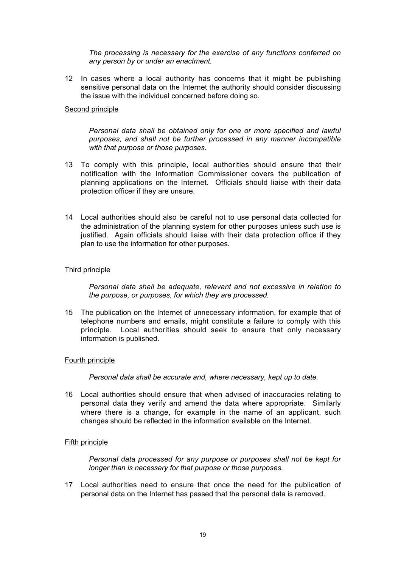*The processing is necessary for the exercise of any functions conferred on any person by or under an enactment.*

12 In cases where a local authority has concerns that it might be publishing sensitive personal data on the Internet the authority should consider discussing the issue with the individual concerned before doing so.

#### Second principle

*Personal data shall be obtained only for one or more specified and lawful purposes, and shall not be further processed in any manner incompatible with that purpose or those purposes.*

- 13 To comply with this principle, local authorities should ensure that their notification with the Information Commissioner covers the publication of planning applications on the Internet. Officials should liaise with their data protection officer if they are unsure.
- 14 Local authorities should also be careful not to use personal data collected for the administration of the planning system for other purposes unless such use is justified. Again officials should liaise with their data protection office if they plan to use the information for other purposes.

## Third principle

*Personal data shall be adequate, relevant and not excessive in relation to the purpose, or purposes, for which they are processed.*

15 The publication on the Internet of unnecessary information, for example that of telephone numbers and emails, might constitute a failure to comply with this principle. Local authorities should seek to ensure that only necessary information is published.

#### Fourth principle

*Personal data shall be accurate and, where necessary, kept up to date.*

16 Local authorities should ensure that when advised of inaccuracies relating to personal data they verify and amend the data where appropriate. Similarly where there is a change, for example in the name of an applicant, such changes should be reflected in the information available on the Internet.

#### Fifth principle

*Personal data processed for any purpose or purposes shall not be kept for longer than is necessary for that purpose or those purposes.*

17 Local authorities need to ensure that once the need for the publication of personal data on the Internet has passed that the personal data is removed.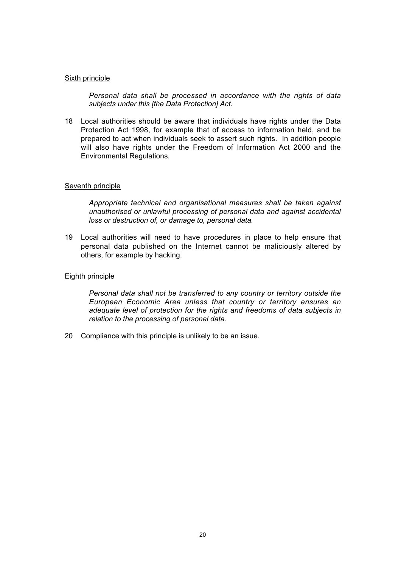#### Sixth principle

*Personal data shall be processed in accordance with the rights of data subjects under this [the Data Protection] Act.*

18 Local authorities should be aware that individuals have rights under the Data Protection Act 1998, for example that of access to information held, and be prepared to act when individuals seek to assert such rights. In addition people will also have rights under the Freedom of Information Act 2000 and the Environmental Regulations.

#### Seventh principle

*Appropriate technical and organisational measures shall be taken against unauthorised or unlawful processing of personal data and against accidental loss or destruction of, or damage to, personal data.*

19 Local authorities will need to have procedures in place to help ensure that personal data published on the Internet cannot be maliciously altered by others, for example by hacking.

## Eighth principle

*Personal data shall not be transferred to any country or territory outside the European Economic Area unless that country or territory ensures an adequate level of protection for the rights and freedoms of data subjects in relation to the processing of personal data.*

20 Compliance with this principle is unlikely to be an issue.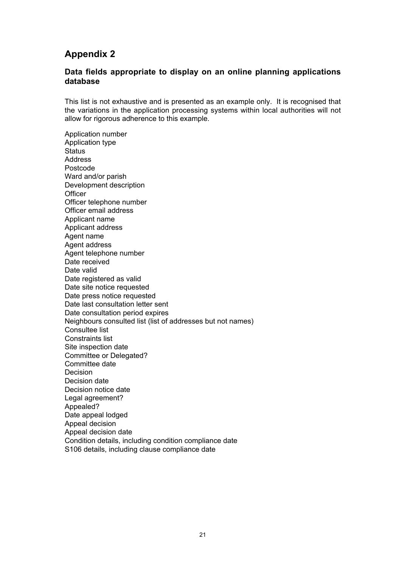# **Appendix 2**

## **Data fields appropriate to display on an online planning applications database**

This list is not exhaustive and is presented as an example only. It is recognised that the variations in the application processing systems within local authorities will not allow for rigorous adherence to this example.

Application number Application type **Status** Address Postcode Ward and/or parish Development description **Officer** Officer telephone number Officer email address Applicant name Applicant address Agent name Agent address Agent telephone number Date received Date valid Date registered as valid Date site notice requested Date press notice requested Date last consultation letter sent Date consultation period expires Neighbours consulted list (list of addresses but not names) Consultee list Constraints list Site inspection date Committee or Delegated? Committee date Decision Decision date Decision notice date Legal agreement? Appealed? Date appeal lodged Appeal decision Appeal decision date Condition details, including condition compliance date S106 details, including clause compliance date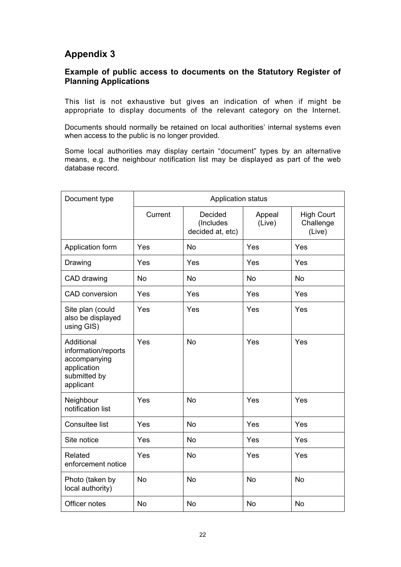# **Appendix 3**

# **Example of public access to documents on the Statutory Register of Planning Applications**

This list is not exhaustive but gives an indication of when if might be appropriate to display documents of the relevant category on the Internet.

Documents should normally be retained on local authorities' internal systems even when access to the public is no longer provided.

Some local authorities may display certain "document" types by an alternative means, e.g. the neighbour notification list may be displayed as part of the web database record.

| Document type                                                                                 | <b>Application status</b> |                                          |                  |                                          |
|-----------------------------------------------------------------------------------------------|---------------------------|------------------------------------------|------------------|------------------------------------------|
|                                                                                               | Current                   | Decided<br>(Includes<br>decided at, etc) | Appeal<br>(Live) | <b>High Court</b><br>Challenge<br>(Live) |
| Application form                                                                              | Yes                       | <b>No</b>                                | Yes              | Yes                                      |
| Drawing                                                                                       | Yes                       | Yes                                      | Yes              | Yes                                      |
| CAD drawing                                                                                   | <b>No</b>                 | <b>No</b>                                | <b>No</b>        | <b>No</b>                                |
| <b>CAD</b> conversion                                                                         | Yes                       | Yes                                      | Yes              | Yes                                      |
| Site plan (could<br>also be displayed<br>using GIS)                                           | Yes                       | Yes                                      | Yes              | Yes                                      |
| Additional<br>information/reports<br>accompanying<br>application<br>submitted by<br>applicant | Yes                       | <b>No</b>                                | Yes              | Yes                                      |
| Neighbour<br>notification list                                                                | Yes                       | <b>No</b>                                | Yes              | Yes                                      |
| Consultee list                                                                                | Yes                       | <b>No</b>                                | Yes              | Yes                                      |
| Site notice                                                                                   | Yes                       | <b>No</b>                                | Yes              | Yes                                      |
| Related<br>enforcement notice                                                                 | Yes                       | <b>No</b>                                | Yes              | Yes                                      |
| Photo (taken by<br>local authority)                                                           | <b>No</b>                 | <b>No</b>                                | No               | <b>No</b>                                |
| Officer notes                                                                                 | <b>No</b>                 | <b>No</b>                                | <b>No</b>        | <b>No</b>                                |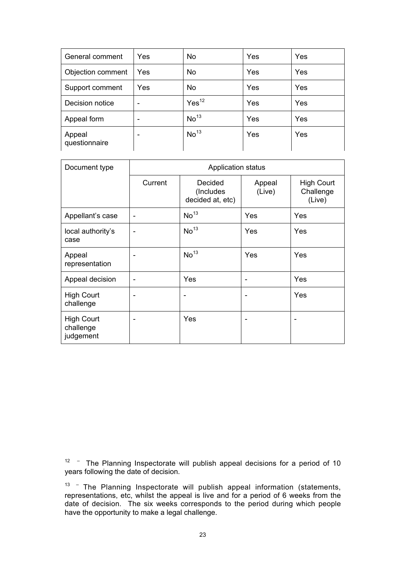| General comment         | Yes                      | <b>No</b>         | Yes | Yes |
|-------------------------|--------------------------|-------------------|-----|-----|
| Objection comment       | Yes                      | <b>No</b>         | Yes | Yes |
| Support comment         | Yes                      | No                | Yes | Yes |
| Decision notice         | ٠                        | Yes <sup>12</sup> | Yes | Yes |
| Appeal form             | $\overline{\phantom{0}}$ | No <sup>13</sup>  | Yes | Yes |
| Appeal<br>questionnaire | ۰                        | No <sup>13</sup>  | Yes | Yes |

| Document type                               | <b>Application status</b> |                                           |                  |                                   |
|---------------------------------------------|---------------------------|-------------------------------------------|------------------|-----------------------------------|
|                                             | Current                   | Decided<br>(Includes)<br>decided at, etc) | Appeal<br>(Live) | High Court<br>Challenge<br>(Live) |
| Appellant's case                            |                           | No <sup>13</sup>                          | Yes              | Yes                               |
| local authority's<br>case                   |                           | No <sup>13</sup>                          | Yes              | Yes                               |
| Appeal<br>representation                    |                           | No <sup>13</sup>                          | Yes              | Yes                               |
| Appeal decision                             |                           | Yes                                       |                  | Yes                               |
| <b>High Court</b><br>challenge              |                           | -                                         |                  | Yes                               |
| <b>High Court</b><br>challenge<br>judgement |                           | Yes                                       |                  |                                   |

 $12 -$  The Planning Inspectorate will publish appeal decisions for a period of 10 years following the date of decision.

 $13$  - The Planning Inspectorate will publish appeal information (statements, representations, etc, whilst the appeal is live and for a period of 6 weeks from the date of decision. The six weeks corresponds to the period during which people have the opportunity to make a legal challenge.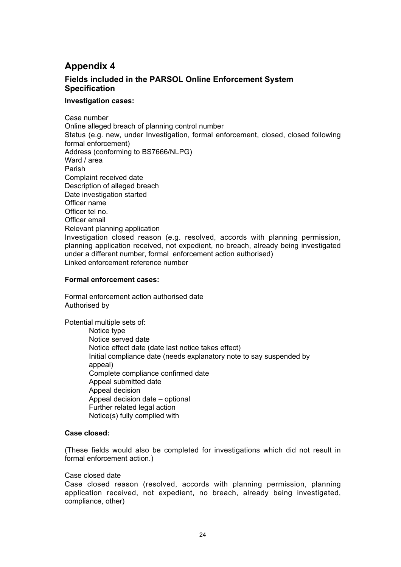# **Appendix 4**

# **Fields included in the PARSOL Online Enforcement System Specification**

## **Investigation cases:**

Case number Online alleged breach of planning control number Status (e.g. new, under Investigation, formal enforcement, closed, closed following formal enforcement) Address (conforming to BS7666/NLPG) Ward / area Parish Complaint received date Description of alleged breach Date investigation started Officer name Officer tel no. Officer email Relevant planning application Investigation closed reason (e.g. resolved, accords with planning permission, planning application received, not expedient, no breach, already being investigated under a different number, formal enforcement action authorised) Linked enforcement reference number

## **Formal enforcement cases:**

Formal enforcement action authorised date Authorised by

Potential multiple sets of:

Notice type Notice served date Notice effect date (date last notice takes effect) Initial compliance date (needs explanatory note to say suspended by appeal) Complete compliance confirmed date Appeal submitted date Appeal decision Appeal decision date – optional Further related legal action Notice(s) fully complied with

#### **Case closed:**

(These fields would also be completed for investigations which did not result in formal enforcement action.)

Case closed date

Case closed reason (resolved, accords with planning permission, planning application received, not expedient, no breach, already being investigated, compliance, other)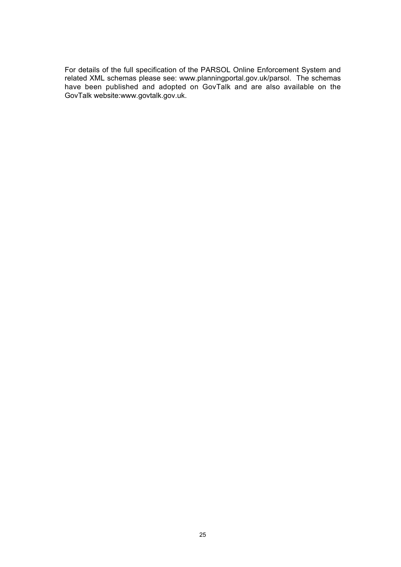For details of the full specification of the PARSOL Online Enforcement System and related XML schemas please see: www.planningportal.gov.uk/parsol. The schemas have been published and adopted on GovTalk and are also available on the GovTalk website:www.govtalk.gov.uk.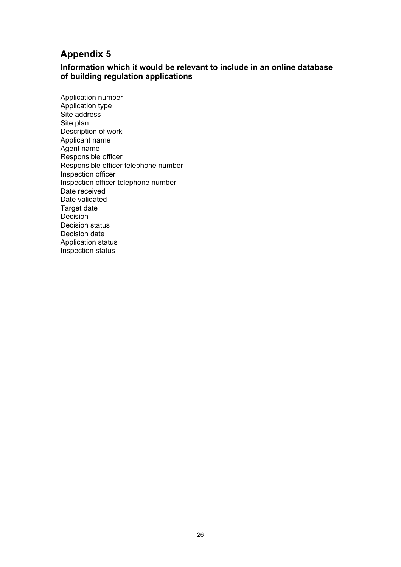# **Appendix 5**

# **Information which it would be relevant to include in an online database of building regulation applications**

Application number Application type Site address Site plan Description of work Applicant name Agent name Responsible officer Responsible officer telephone number Inspection officer Inspection officer telephone number Date received Date validated Target date Decision Decision status Decision date Application status Inspection status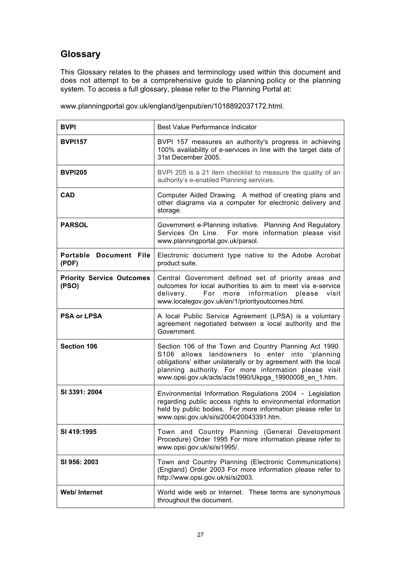# **Glossary**

This Glossary relates to the phases and terminology used within this document and does not attempt to be a comprehensive guide to planning policy or the planning system. To access a full glossary, please refer to the Planning Portal at:

www.planningportal.gov.uk/england/genpub/en/1018892037172.html.

| <b>BVPI</b>                               | Best Value Performance Indicator                                                                                                                                                                                                                                                                  |
|-------------------------------------------|---------------------------------------------------------------------------------------------------------------------------------------------------------------------------------------------------------------------------------------------------------------------------------------------------|
| <b>BVPI157</b>                            | BVPI 157 measures an authority's progress in achieving<br>100% availability of e-services in line with the target date of<br>31st December 2005.                                                                                                                                                  |
| <b>BVPI205</b>                            | BVPI 205 is a 21 item checklist to measure the quality of an<br>authority's e-enabled Planning services.                                                                                                                                                                                          |
| <b>CAD</b>                                | Computer Aided Drawing. A method of creating plans and<br>other diagrams via a computer for electronic delivery and<br>storage.                                                                                                                                                                   |
| <b>PARSOL</b>                             | Government e-Planning initiative. Planning And Regulatory<br>For more information please visit<br>Services On Line.<br>www.planningportal.gov.uk/parsol.                                                                                                                                          |
| Portable Document File<br>(PDF)           | Electronic document type native to the Adobe Acrobat<br>product suite.                                                                                                                                                                                                                            |
| <b>Priority Service Outcomes</b><br>(PSO) | Central Government defined set of priority areas and<br>outcomes for local authorities to aim to meet via e-service<br>For more information<br>visit<br>delivery.<br>please<br>www.localegov.gov.uk/en/1/priorityoutcomes.html.                                                                   |
| <b>PSA or LPSA</b>                        | A local Public Service Agreement (LPSA) is a voluntary<br>agreement negotiated between a local authority and the<br>Government.                                                                                                                                                                   |
| <b>Section 106</b>                        | Section 106 of the Town and Country Planning Act 1990.<br>allows landowners to enter into 'planning<br>S106<br>obligations' either unilaterally or by agreement with the local<br>planning authority. For more information please visit<br>www.opsi.gov.uk/acts/acts1990/Ukpga_19900008_en_1.htm. |
| SI 3391: 2004                             | Environmental Information Regulations 2004 - Legislation<br>regarding public access rights to environmental information<br>held by public bodies. For more information please refer to<br>www.opsi.gov.uk/si/si2004/20043391.htm.                                                                 |
| SI 419:1995                               | Town and Country Planning (General Development<br>Procedure) Order 1995 For more information please refer to<br>www.opsi.gov.uk/si/si1995/.                                                                                                                                                       |
| SI 956: 2003                              | Town and Country Planning (Electronic Communications)<br>(England) Order 2003 For more information please refer to<br>http://www.opsi.gov.uk/si/si2003.                                                                                                                                           |
| Web/Internet                              | World wide web or Internet. These terms are synonymous<br>throughout the document.                                                                                                                                                                                                                |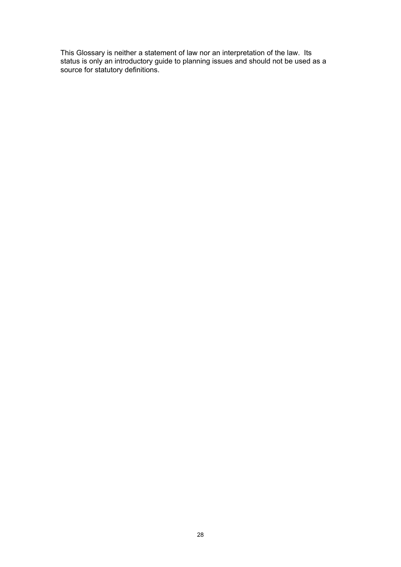This Glossary is neither a statement of law nor an interpretation of the law. Its status is only an introductory guide to planning issues and should not be used as a source for statutory definitions.